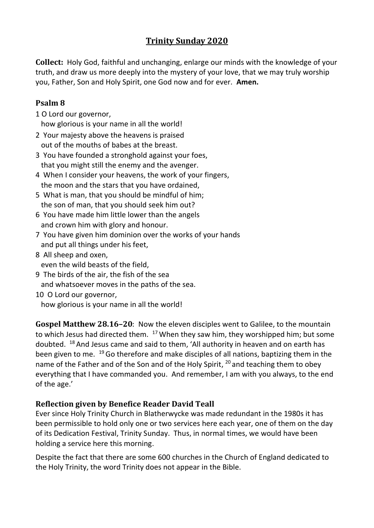## **Trinity Sunday 2020**

**Collect:** Holy God, faithful and unchanging, enlarge our minds with the knowledge of your truth, and draw us more deeply into the mystery of your love, that we may truly worship you, Father, Son and Holy Spirit, one God now and for ever. **Amen.**

## **Psalm 8**

1 O Lord our governor,

how glorious is your name in all the world!

- 2 Your majesty above the heavens is praised out of the mouths of babes at the breast.
- 3 You have founded a stronghold against your foes, that you might still the enemy and the avenger.
- 4 When I consider your heavens, the work of your fingers, the moon and the stars that you have ordained,
- 5 What is man, that you should be mindful of him; the son of man, that you should seek him out?
- 6 You have made him little lower than the angels and crown him with glory and honour.
- 7 You have given him dominion over the works of your hands and put all things under his feet,
- 8 All sheep and oxen, even the wild beasts of the field,
- 9 The birds of the air, the fish of the sea and whatsoever moves in the paths of the sea.
- 10 O Lord our governor, how glorious is your name in all the world!

**Gospel Matthew 28.16–20**: Now the eleven disciples went to Galilee, to the mountain to which Jesus had directed them.  $17$  When they saw him, they worshipped him; but some doubted.  $^{18}$  And Jesus came and said to them, 'All authority in heaven and on earth has been given to me. <sup>19</sup> Go therefore and make disciples of all nations, baptizing them in the name of the Father and of the Son and of the Holy Spirit, <sup>20</sup> and teaching them to obey everything that I have commanded you. And remember, I am with you always, to the end of the age.'

## **Reflection given by Benefice Reader David Teall**

Ever since Holy Trinity Church in Blatherwycke was made redundant in the 1980s it has been permissible to hold only one or two services here each year, one of them on the day of its Dedication Festival, Trinity Sunday. Thus, in normal times, we would have been holding a service here this morning.

Despite the fact that there are some 600 churches in the Church of England dedicated to the Holy Trinity, the word Trinity does not appear in the Bible.